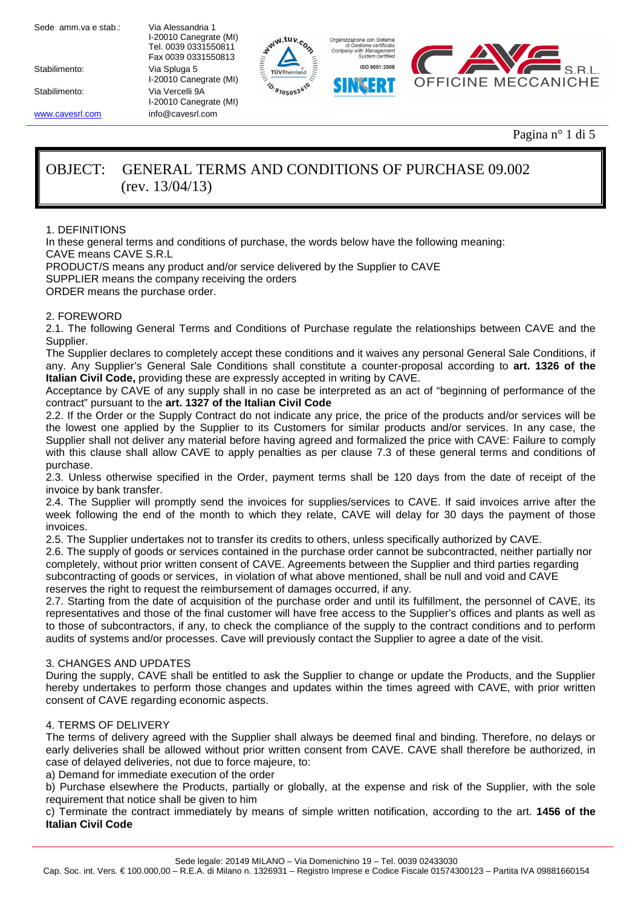Stabilimento: Via Spluga 5

 I-20010 Canegrate (MI) Tel. 0039 0331550811 Fax 0039 0331550813 I-20010 Canegrate (MI) Stabilimento: Via Vercelli 9A I-20010 Canegrate (MI) www.cavesrl.com info@cavesrl.com







Pagina n° 1 di 5

# OBJECT: GENERAL TERMS AND CONDITIONS OF PURCHASE 09.002 (rev. 13/04/13)

1. DEFINITIONS

In these general terms and conditions of purchase, the words below have the following meaning: CAVE means CAVE S.R.L

PRODUCT/S means any product and/or service delivered by the Supplier to CAVE

SUPPLIER means the company receiving the orders

ORDER means the purchase order.

# 2. FOREWORD

2.1. The following General Terms and Conditions of Purchase regulate the relationships between CAVE and the Supplier.

The Supplier declares to completely accept these conditions and it waives any personal General Sale Conditions, if any. Any Supplier's General Sale Conditions shall constitute a counter-proposal according to **art. 1326 of the Italian Civil Code,** providing these are expressly accepted in writing by CAVE.

Acceptance by CAVE of any supply shall in no case be interpreted as an act of "beginning of performance of the contract" pursuant to the **art. 1327 of the Italian Civil Code**

2.2. If the Order or the Supply Contract do not indicate any price, the price of the products and/or services will be the lowest one applied by the Supplier to its Customers for similar products and/or services. In any case, the Supplier shall not deliver any material before having agreed and formalized the price with CAVE: Failure to comply with this clause shall allow CAVE to apply penalties as per clause 7.3 of these general terms and conditions of purchase.

2.3. Unless otherwise specified in the Order, payment terms shall be 120 days from the date of receipt of the invoice by bank transfer.

2.4. The Supplier will promptly send the invoices for supplies/services to CAVE. If said invoices arrive after the week following the end of the month to which they relate, CAVE will delay for 30 days the payment of those invoices.

2.5. The Supplier undertakes not to transfer its credits to others, unless specifically authorized by CAVE.

2.6. The supply of goods or services contained in the purchase order cannot be subcontracted, neither partially nor completely, without prior written consent of CAVE. Agreements between the Supplier and third parties regarding subcontracting of goods or services, in violation of what above mentioned, shall be null and void and CAVE reserves the right to request the reimbursement of damages occurred, if any.

2.7. Starting from the date of acquisition of the purchase order and until its fulfillment, the personnel of CAVE, its representatives and those of the final customer will have free access to the Supplier's offices and plants as well as to those of subcontractors, if any, to check the compliance of the supply to the contract conditions and to perform audits of systems and/or processes. Cave will previously contact the Supplier to agree a date of the visit.

# 3. CHANGES AND UPDATES

During the supply, CAVE shall be entitled to ask the Supplier to change or update the Products, and the Supplier hereby undertakes to perform those changes and updates within the times agreed with CAVE, with prior written consent of CAVE regarding economic aspects.

# 4. TERMS OF DELIVERY

The terms of delivery agreed with the Supplier shall always be deemed final and binding. Therefore, no delays or early deliveries shall be allowed without prior written consent from CAVE. CAVE shall therefore be authorized, in case of delayed deliveries, not due to force majeure, to:

a) Demand for immediate execution of the order

b) Purchase elsewhere the Products, partially or globally, at the expense and risk of the Supplier, with the sole requirement that notice shall be given to him

c) Terminate the contract immediately by means of simple written notification, according to the art. **1456 of the Italian Civil Code**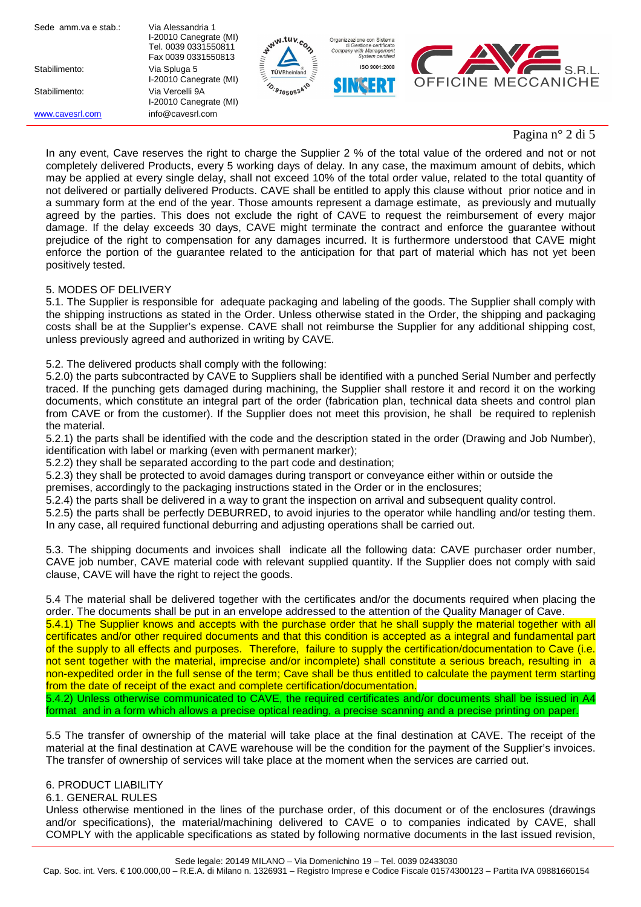| Sede amm.va e stab.: | Via Alessandria 1<br>I-20010 Canegrate (MI)<br>Tel. 0039 0331550811<br>Fax 0039 0331550813 | ww.tuv.c<br>7   | Organizzazione con Sistema<br>di Gestione certificato<br>Company with Management<br>System certified |                            |
|----------------------|--------------------------------------------------------------------------------------------|-----------------|------------------------------------------------------------------------------------------------------|----------------------------|
| Stabilimento:        | Via Spluga 5                                                                               | TÜVRheinland    | ISO 9001:2008                                                                                        | $S$ RI                     |
|                      | I-20010 Canegrate (MI)                                                                     |                 | NG ERI                                                                                               | <b>OFFICINE MECCANICHE</b> |
| Stabilimento:        | Via Vercelli 9A<br>I-20010 Canegrate (MI)                                                  | $^{40.9705053}$ |                                                                                                      |                            |
| www.cavesrl.com      | info@cavesrl.com                                                                           |                 |                                                                                                      |                            |

# Pagina n° 2 di 5

In any event, Cave reserves the right to charge the Supplier 2 % of the total value of the ordered and not or not completely delivered Products, every 5 working days of delay. In any case, the maximum amount of debits, which may be applied at every single delay, shall not exceed 10% of the total order value, related to the total quantity of not delivered or partially delivered Products. CAVE shall be entitled to apply this clause without prior notice and in a summary form at the end of the year. Those amounts represent a damage estimate, as previously and mutually agreed by the parties. This does not exclude the right of CAVE to request the reimbursement of every major damage. If the delay exceeds 30 days, CAVE might terminate the contract and enforce the guarantee without prejudice of the right to compensation for any damages incurred. It is furthermore understood that CAVE might enforce the portion of the guarantee related to the anticipation for that part of material which has not yet been positively tested.

# 5. MODES OF DELIVERY

5.1. The Supplier is responsible for adequate packaging and labeling of the goods. The Supplier shall comply with the shipping instructions as stated in the Order. Unless otherwise stated in the Order, the shipping and packaging costs shall be at the Supplier's expense. CAVE shall not reimburse the Supplier for any additional shipping cost, unless previously agreed and authorized in writing by CAVE.

5.2. The delivered products shall comply with the following:

5.2.0) the parts subcontracted by CAVE to Suppliers shall be identified with a punched Serial Number and perfectly traced. If the punching gets damaged during machining, the Supplier shall restore it and record it on the working documents, which constitute an integral part of the order (fabrication plan, technical data sheets and control plan from CAVE or from the customer). If the Supplier does not meet this provision, he shall be required to replenish the material.

5.2.1) the parts shall be identified with the code and the description stated in the order (Drawing and Job Number), identification with label or marking (even with permanent marker);

5.2.2) they shall be separated according to the part code and destination;

5.2.3) they shall be protected to avoid damages during transport or conveyance either within or outside the

premises, accordingly to the packaging instructions stated in the Order or in the enclosures;

5.2.4) the parts shall be delivered in a way to grant the inspection on arrival and subsequent quality control.

5.2.5) the parts shall be perfectly DEBURRED, to avoid injuries to the operator while handling and/or testing them. In any case, all required functional deburring and adjusting operations shall be carried out.

5.3. The shipping documents and invoices shall indicate all the following data: CAVE purchaser order number, CAVE job number, CAVE material code with relevant supplied quantity. If the Supplier does not comply with said clause, CAVE will have the right to reject the goods.

5.4 The material shall be delivered together with the certificates and/or the documents required when placing the order. The documents shall be put in an envelope addressed to the attention of the Quality Manager of Cave.

5.4.1) The Supplier knows and accepts with the purchase order that he shall supply the material together with all certificates and/or other required documents and that this condition is accepted as a integral and fundamental part of the supply to all effects and purposes. Therefore, failure to supply the certification/documentation to Cave (i.e. not sent together with the material, imprecise and/or incomplete) shall constitute a serious breach, resulting in a non-expedited order in the full sense of the term; Cave shall be thus entitled to calculate the payment term starting from the date of receipt of the exact and complete certification/documentation.

5.4.2) Unless otherwise communicated to CAVE, the required certificates and/or documents shall be issued in A4 format and in a form which allows a precise optical reading, a precise scanning and a precise printing on paper.

5.5 The transfer of ownership of the material will take place at the final destination at CAVE. The receipt of the material at the final destination at CAVE warehouse will be the condition for the payment of the Supplier's invoices. The transfer of ownership of services will take place at the moment when the services are carried out.

# 6. PRODUCT LIABILITY

6.1. GENERAL RULES

Unless otherwise mentioned in the lines of the purchase order, of this document or of the enclosures (drawings and/or specifications), the material/machining delivered to CAVE o to companies indicated by CAVE, shall COMPLY with the applicable specifications as stated by following normative documents in the last issued revision,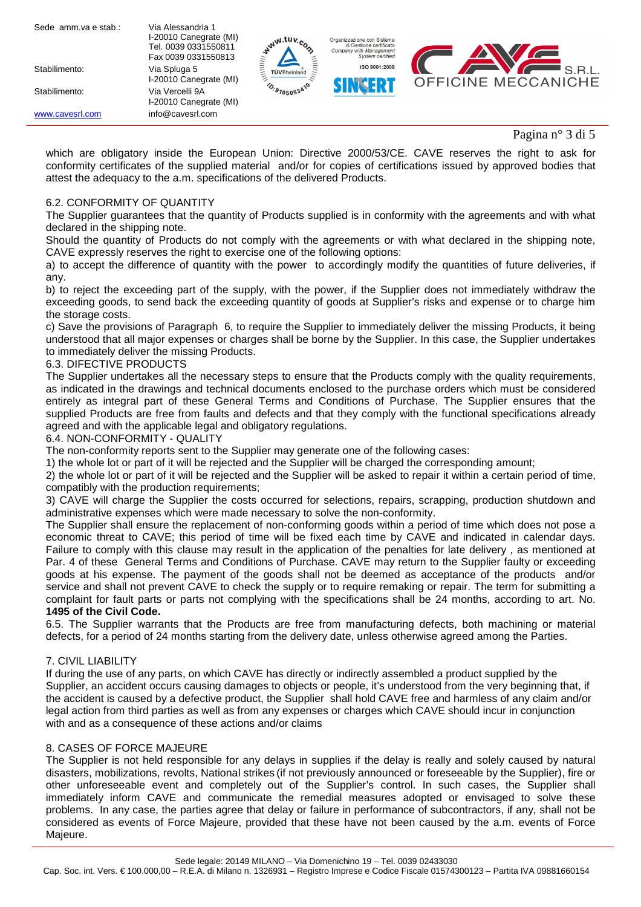| Sede amm.va e stab.: | Via Alessandria 1<br>I-20010 Canegrate (MI)<br>Tel. 0039 0331550811<br>Fax 0039 0331550813 | $w^{W}.$ tuv.                  | Organizzazione con Sistema<br>di Gestione certificato<br>Company with Management<br>System certified |                            |
|----------------------|--------------------------------------------------------------------------------------------|--------------------------------|------------------------------------------------------------------------------------------------------|----------------------------|
| Stabilimento:        | Via Spluga 5                                                                               | <b>TÜVRheinland</b>            | ISO 9001:2008                                                                                        | $S$ RI                     |
|                      | I-20010 Canegrate (MI)                                                                     |                                |                                                                                                      | <b>OFFICINE MECCANICHE</b> |
| Stabilimento:        | Via Vercelli 9A<br>I-20010 Canegrate (MI)                                                  | $\frac{10.97050534}{9.050534}$ |                                                                                                      |                            |
| www.cavesrl.com      | info@cavesrl.com                                                                           |                                |                                                                                                      |                            |

Pagina n° 3 di 5

which are obligatory inside the European Union: Directive 2000/53/CE. CAVE reserves the right to ask for conformity certificates of the supplied material and/or for copies of certifications issued by approved bodies that attest the adequacy to the a.m. specifications of the delivered Products.

#### 6.2. CONFORMITY OF QUANTITY

The Supplier guarantees that the quantity of Products supplied is in conformity with the agreements and with what declared in the shipping note.

Should the quantity of Products do not comply with the agreements or with what declared in the shipping note, CAVE expressly reserves the right to exercise one of the following options:

a) to accept the difference of quantity with the power to accordingly modify the quantities of future deliveries, if any.

b) to reject the exceeding part of the supply, with the power, if the Supplier does not immediately withdraw the exceeding goods, to send back the exceeding quantity of goods at Supplier's risks and expense or to charge him the storage costs.

c) Save the provisions of Paragraph 6, to require the Supplier to immediately deliver the missing Products, it being understood that all major expenses or charges shall be borne by the Supplier. In this case, the Supplier undertakes to immediately deliver the missing Products.

#### 6.3. DIFECTIVE PRODUCTS

The Supplier undertakes all the necessary steps to ensure that the Products comply with the quality requirements, as indicated in the drawings and technical documents enclosed to the purchase orders which must be considered entirely as integral part of these General Terms and Conditions of Purchase. The Supplier ensures that the supplied Products are free from faults and defects and that they comply with the functional specifications already agreed and with the applicable legal and obligatory regulations.

#### 6.4. NON-CONFORMITY - QUALITY

The non-conformity reports sent to the Supplier may generate one of the following cases:

1) the whole lot or part of it will be rejected and the Supplier will be charged the corresponding amount;

2) the whole lot or part of it will be rejected and the Supplier will be asked to repair it within a certain period of time, compatibly with the production requirements;

3) CAVE will charge the Supplier the costs occurred for selections, repairs, scrapping, production shutdown and administrative expenses which were made necessary to solve the non-conformity.

The Supplier shall ensure the replacement of non-conforming goods within a period of time which does not pose a economic threat to CAVE; this period of time will be fixed each time by CAVE and indicated in calendar days. Failure to comply with this clause may result in the application of the penalties for late delivery , as mentioned at Par. 4 of these General Terms and Conditions of Purchase. CAVE may return to the Supplier faulty or exceeding goods at his expense. The payment of the goods shall not be deemed as acceptance of the products and/or service and shall not prevent CAVE to check the supply or to require remaking or repair. The term for submitting a complaint for fault parts or parts not complying with the specifications shall be 24 months, according to art. No. **1495 of the Civil Code.**

6.5. The Supplier warrants that the Products are free from manufacturing defects, both machining or material defects, for a period of 24 months starting from the delivery date, unless otherwise agreed among the Parties.

# 7. CIVIL LIABILITY

If during the use of any parts, on which CAVE has directly or indirectly assembled a product supplied by the Supplier, an accident occurs causing damages to objects or people, it's understood from the very beginning that, if the accident is caused by a defective product, the Supplier shall hold CAVE free and harmless of any claim and/or legal action from third parties as well as from any expenses or charges which CAVE should incur in conjunction with and as a consequence of these actions and/or claims

# 8. CASES OF FORCE MAJEURE

The Supplier is not held responsible for any delays in supplies if the delay is really and solely caused by natural disasters, mobilizations, revolts, National strikes (if not previously announced or foreseeable by the Supplier), fire or other unforeseeable event and completely out of the Supplier's control. In such cases, the Supplier shall immediately inform CAVE and communicate the remedial measures adopted or envisaged to solve these problems. In any case, the parties agree that delay or failure in performance of subcontractors, if any, shall not be considered as events of Force Majeure, provided that these have not been caused by the a.m. events of Force Majeure.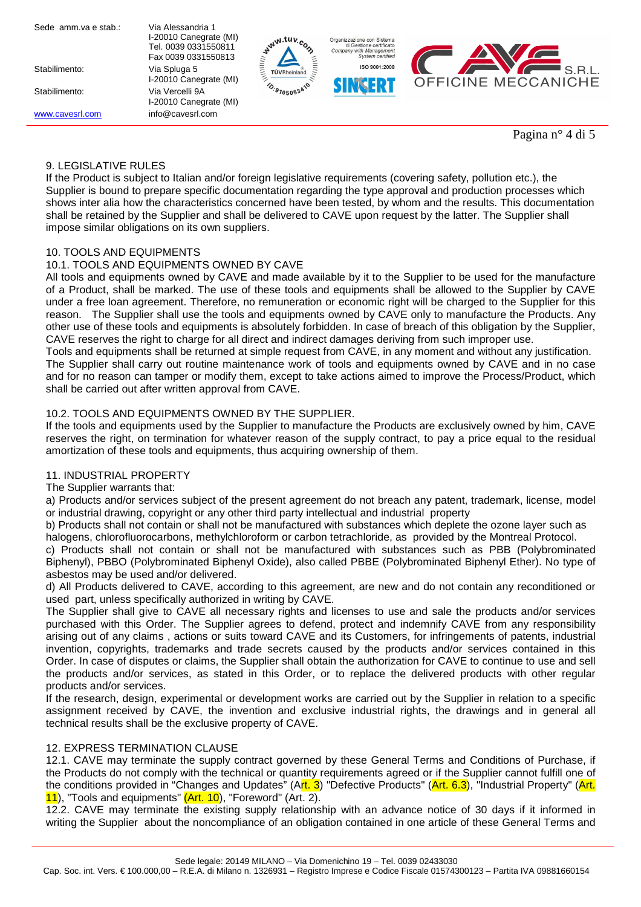| Sede amm.va e stab.: | Via Alessandria 1      |  |  |
|----------------------|------------------------|--|--|
|                      | I-20010 Canegrate (MI) |  |  |
|                      | Tel. 0039 0331550811   |  |  |
|                      | Fax 0039 0331550813    |  |  |
| Stabilimento:        | Via Spluga 5           |  |  |
|                      | I-20010 Canegrate (MI) |  |  |
| Stabilimento:        | Via Vercelli 9A        |  |  |
|                      | I-20010 Canegrate (MI) |  |  |
| www.cavesrl.com      | info@cavesrl.com       |  |  |
|                      |                        |  |  |







Pagina n° 4 di 5

# 9. LEGISLATIVE RULES

If the Product is subject to Italian and/or foreign legislative requirements (covering safety, pollution etc.), the Supplier is bound to prepare specific documentation regarding the type approval and production processes which shows inter alia how the characteristics concerned have been tested, by whom and the results. This documentation shall be retained by the Supplier and shall be delivered to CAVE upon request by the latter. The Supplier shall impose similar obligations on its own suppliers.

# 10. TOOLS AND EQUIPMENTS

# 10.1. TOOLS AND EQUIPMENTS OWNED BY CAVE

All tools and equipments owned by CAVE and made available by it to the Supplier to be used for the manufacture of a Product, shall be marked. The use of these tools and equipments shall be allowed to the Supplier by CAVE under a free loan agreement. Therefore, no remuneration or economic right will be charged to the Supplier for this reason. The Supplier shall use the tools and equipments owned by CAVE only to manufacture the Products. Any other use of these tools and equipments is absolutely forbidden. In case of breach of this obligation by the Supplier, CAVE reserves the right to charge for all direct and indirect damages deriving from such improper use.

Tools and equipments shall be returned at simple request from CAVE, in any moment and without any justification. The Supplier shall carry out routine maintenance work of tools and equipments owned by CAVE and in no case and for no reason can tamper or modify them, except to take actions aimed to improve the Process/Product, which shall be carried out after written approval from CAVE.

# 10.2. TOOLS AND EQUIPMENTS OWNED BY THE SUPPLIER.

If the tools and equipments used by the Supplier to manufacture the Products are exclusively owned by him, CAVE reserves the right, on termination for whatever reason of the supply contract, to pay a price equal to the residual amortization of these tools and equipments, thus acquiring ownership of them.

# 11. INDUSTRIAL PROPERTY

# The Supplier warrants that:

a) Products and/or services subject of the present agreement do not breach any patent, trademark, license, model or industrial drawing, copyright or any other third party intellectual and industrial property

b) Products shall not contain or shall not be manufactured with substances which deplete the ozone layer such as halogens, chlorofluorocarbons, methylchloroform or carbon tetrachloride, as provided by the Montreal Protocol.

c) Products shall not contain or shall not be manufactured with substances such as PBB (Polybrominated Biphenyl), PBBO (Polybrominated Biphenyl Oxide), also called PBBE (Polybrominated Biphenyl Ether). No type of asbestos may be used and/or delivered.

d) All Products delivered to CAVE, according to this agreement, are new and do not contain any reconditioned or used part, unless specifically authorized in writing by CAVE.

The Supplier shall give to CAVE all necessary rights and licenses to use and sale the products and/or services purchased with this Order. The Supplier agrees to defend, protect and indemnify CAVE from any responsibility arising out of any claims , actions or suits toward CAVE and its Customers, for infringements of patents, industrial invention, copyrights, trademarks and trade secrets caused by the products and/or services contained in this Order. In case of disputes or claims, the Supplier shall obtain the authorization for CAVE to continue to use and sell the products and/or services, as stated in this Order, or to replace the delivered products with other regular products and/or services.

If the research, design, experimental or development works are carried out by the Supplier in relation to a specific assignment received by CAVE, the invention and exclusive industrial rights, the drawings and in general all technical results shall be the exclusive property of CAVE.

# 12. EXPRESS TERMINATION CLAUSE

12.1. CAVE may terminate the supply contract governed by these General Terms and Conditions of Purchase, if the Products do not comply with the technical or quantity requirements agreed or if the Supplier cannot fulfill one of the conditions provided in "Changes and Updates" (Art. 3) "Defective Products" (Art. 6.3), "Industrial Property" (Art. 11), "Tools and equipments" (Art. 10), "Foreword" (Art. 2).

12.2. CAVE may terminate the existing supply relationship with an advance notice of 30 days if it informed in writing the Supplier about the noncompliance of an obligation contained in one article of these General Terms and

Sede legale: 20149 MILANO – Via Domenichino 19 – Tel. 0039 02433030